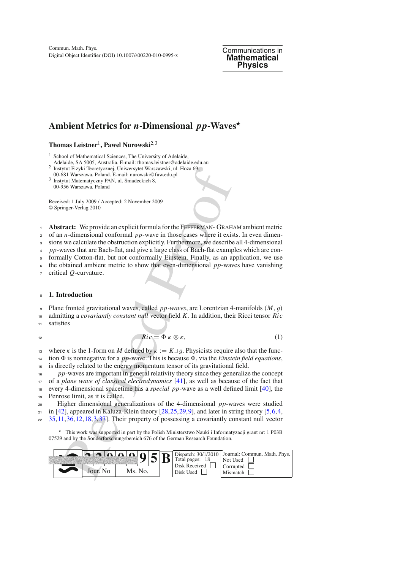Digital Object Identifier (DOI) 10.1007/s00220-010-0995-x Commun. Math. Phys. Communications in

**Mathematical Physics**

# **Ambient Metrics for** *n***-Dimensional** *pp***-Waves**

## **Thomas Leistner**1**, Pawel Nurowski**2,<sup>3</sup>

<sup>1</sup> School of Mathematical Sciences, The University of Adelaide,

- Adelaide, SA 5005, Australia. E-mail: thomas.leistner@adelaide.edu.au
- 2 Instytut Fizyki Teoretycznej, Uniwersytet Warszawski, ul. Hoża 69,<br>00-681 Warszawa, Poland. E-mail: nurowski@fuw.edu.pl
- <sup>3</sup> Instytut Matematyczny PAN, ul. Sniadeckich 8, 00-956 Warszawa, Poland

Received: 1 July 2009 / Accepted: 2 November 2009 © Springer-Verlag 2010

<sup>1</sup> **Abstract:** We provide an explicit formula for the Fefferman- Graham ambient metric

<sup>2</sup> of an *n*-dimensional conformal *pp*-wave in those cases where it exists. In even dimen-

<sup>3</sup> sions we calculate the obstruction explicitly. Furthermore, we describe all 4-dimensional

<sup>4</sup> *pp*-waves that are Bach-flat, and give a large class of Bach-flat examples which are con-

<sup>5</sup> formally Cotton-flat, but not conformally Einstein. Finally, as an application, we use <sup>6</sup> the obtained ambient metric to show that even-dimensional *pp*-waves have vanishing

<sup>7</sup> critical *Q*-curvature.

#### <sup>8</sup> **1. Introduction**

<sup>9</sup> Plane fronted gravitational waves, called *pp-waves*, are Lorentzian 4-manifolds (*M*, *g*)

<sup>10</sup> admitting a *covariantly constant null* vector field *K*. In addition, their Ricci tensor *Ric*

<sup>11</sup> satisfies

$$
Ric = \Phi \kappa \otimes \kappa, \tag{1}
$$

where *κ* is the 1-form on *M* defined by  $\kappa := K \perp g$ . Physicists require also that the function  $\Phi$  is nonnegative for a *pp*-wave. This is because  $\Phi$ , via the *Einstein field equations*. tion  $\Phi$  is nonnegative for a *pp*-wave. This is because  $\Phi$ , via the *Einstein field equations*, <sup>15</sup> is directly related to the energy momentum tensor of its gravitational field.

<sup>16</sup> *pp*-waves are important in general relativity theory since they generalize the concept <sup>17</sup> of a *plane wave of classical electrodynamics* [\[41\]](#page-17-0), as well as because of the fact that

<sup>18</sup> every 4-dimensional spacetime has a *special pp*-wave as a well defined limit [\[40\]](#page-17-1), the <sup>19</sup> Penrose limit, as it is called.

<sup>20</sup> Higher dimensional generalizations of the 4-dimensional *pp*-waves were studied  $_{21}$  in [\[42](#page-17-2)], appeared in Kaluza-Klein theory [28, [25,](#page-17-4) [29](#page-17-5), 9], and later in string theory [\[5,](#page-16-1) [6](#page-16-2), 4, <sup>22</sup> [35](#page-17-6)[,11](#page-16-4),36,12,18,3,37]. Their property of possessing a covariantly constant null vector

\* This work was supported in part by the Polish Ministerstwo Nauki i Informatyzacji grant nr: 1 P03B 07529 and by the Sonderforschungsbereich 676 of the German Research Foundation.

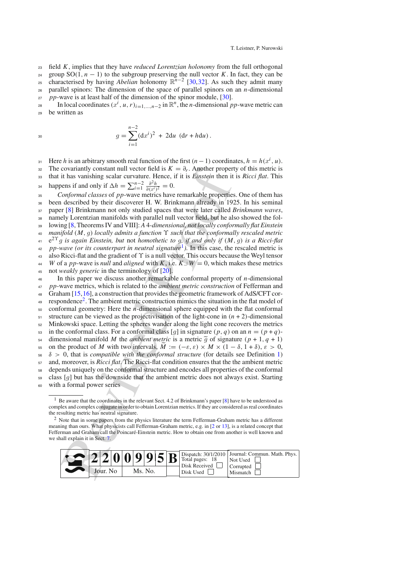<sup>23</sup> field *K*, implies that they have *reduced Lorentzian holonomy* from the full orthogonal

 $24$  group SO(1,  $n - 1$ ) to the subgroup preserving the null vector *K*. In fact, they can be

<sup>25</sup> characterised by having *Abelian* holonomy  $\mathbb{R}^{n-2}$  [\[30](#page-17-9),[32\]](#page-17-10). As such they admit many

<sup>26</sup> parallel spinors: The dimension of the space of parallel spinors on an *n*-dimensional

<sup>27</sup> *pp*-wave is at least half of the dimension of the spinor module, [\[30](#page-17-9)].

In local coordinates  $(x^i, u, r)_{i=1,\dots,n-2}$  in  $\mathbb{R}^n$ , the *n*-dimensional *pp*-wave metric can<br>be written as <sup>29</sup> be written as

$$
g = \sum_{i=1}^{n-2} (dx^i)^2 + 2du (dr + hdu).
$$

Here *h* is an arbitrary smooth real function of the first  $(n-1)$  coordinates,  $h = h(x^i, u)$ .<br>The covariantly constant null vector field is  $K = \partial_r$ . Another property of this metric is

The covariantly constant null vector field is  $K = \partial_r$ . Another property of this metric is <sup>33</sup> that it has vanishing scalar curvature. Hence, if it is *Einstein* then it is *Ricci flat*. This

happens if and only if  $\Delta h = \sum_{i=1}^{n-2} \frac{\partial^2 h}{\partial (x^i)^2} = 0.$ <br>25 *Conformal classes* of *nn*-wave metrics have

covariantly constant null vector field is  $K = \partial_r$ . Another p[ro](#page-1-0)per<br>it has vanishing costar curvature. Hence, if it is *Einstein* then it<br>it has vanishing scalar curvature. Hence, if it is *Einstein* then it<br>conformal class <sup>35</sup> *Conformal classes* of *pp*-wave metrics have remarkable properties. One of them has <sup>36</sup> been described by their discoverer H. W. Brinkmann already in 1925. In his seminal <sup>37</sup> paper [\[8](#page-16-8)] Brinkmann not only studied spaces that were later called *Brinkmann waves*, <sup>38</sup> namely Lorentzian manifolds with parallel null vector field, but he also showed the fol-<sup>39</sup> lowing [\[8](#page-16-8), Theorems IV and VIII]: *A* 4*-dimensional, not locally conformally flat Einstein* <sup>40</sup> *manifold*  $(M, g)$  *locally admits a function*  $\Upsilon$  *such that the conformally rescaled metric*  $e^{2\Upsilon}g$  *is a gain Einstein, but not homothetic to q, if and only if*  $(M, g)$  *is a Ricci-flat*  $e^{2Y}g$  *is again Einstein, but not homothetic to g, if and only if*  $(M, g)$  *is a Ricci-flat*<br>*42 pp-wave (or its counterpart in neutral signature<sup>1</sup>). In this case, the rescaled metric is pp-wave (or its counterpart in neutral signature<sup>1</sup>). In this case, the rescaled metric is* <sup>43</sup> also Ricci-flat and the gradient of ϒ is a null vector. This occurs because the Weyl tensor *W* of a *pp*-wave is *null* and *aligned* with *K*, i.e.  $K \perp W = 0$ , which makes these metrics <sup>45</sup> not *weakly generic* in the terminology of [20]. <sup>46</sup> In this paper we discuss another remarkable conformal property of *n*-dimensional <sup>47</sup> *pp*-wave metrics, which is related to the *ambient metric construction* of Fefferman and <sup>48</sup> Graham [\[15](#page-16-10)[,16](#page-16-11)], a construction that provides the geometric framework of AdS/CFT cor-<sup>49</sup> respondence<sup>2</sup>. The ambient metric construction mimics the situation in the flat model of <sup>50</sup> conformal geometry: Here the *n*-dimensional sphere equipped with the flat conformal  $51$  structure can be viewed as the projectivisation of the light-cone in  $(n + 2)$ -dimensional <sup>52</sup> Minkowski space. Letting the spheres wander along the light cone recovers the metrics <sup>53</sup> in the conformal class. For a conformal class [g] in signature  $(p, q)$  on an  $n = (p + q)$ -<br><sup>54</sup> dimensional manifold M the *ambient metric* is a metric  $\tilde{q}$  of signature  $(p + 1, q + 1)$ 54 dimensional manifold *M* the *ambient metric* is a metric  $\tilde{g}$  of signature  $(p + 1, q + 1)$ <br>55 on the product of *M* with two intervals,  $\tilde{M} := (-\varepsilon, \varepsilon) \times M \times (1 - \delta, 1 + \delta), \varepsilon > 0$ , 55 on the product of *M* with two intervals,  $M := (-\varepsilon, \varepsilon) \times M \times (1 - \delta, 1 + \delta), \varepsilon > 0$ ,  $\delta > 0$ , that is *compatible with the conformal structure* (for details see Definition 1)  $\delta > 0$ , that is *compatible with the conformal structure* (for details see Definition [1\)](#page-3-0) <sup>57</sup> and, moreover, is *Ricci flat*. The Ricci-flat condition ensures that the the ambient metric <sup>58</sup> depends uniquely on the conformal structure and encodes all properties of the conformal  $\frac{1}{59}$  class [*g*] but has the downside that the ambient metric does not always exist. Starting with a formal power series with a formal power series

<span id="page-1-1"></span><sup>&</sup>lt;sup>2</sup> Note that in some papers from the physics literature the term Fefferman-Graham metric has a different meaning than ours. What physicists call Fefferman-Graham metric, e.g. in [\[2](#page-16-12) or [13\]](#page-16-13), is a related concept that Fefferman and Graham call the Poincaré-Einstein metric. How to obtain one from another is well known and we shall explain it in Sect. 7.



<span id="page-1-0"></span><sup>&</sup>lt;sup>1</sup> Be aware that the coordinates in the relevant Sect. 4.2 of Brinkmann's paper [\[8\]](#page-16-8) have to be understood as complex and complex conjugate in order to obtain Lorentzian metrics. If they are considered as real coordinates the resulting metric has neutral signature.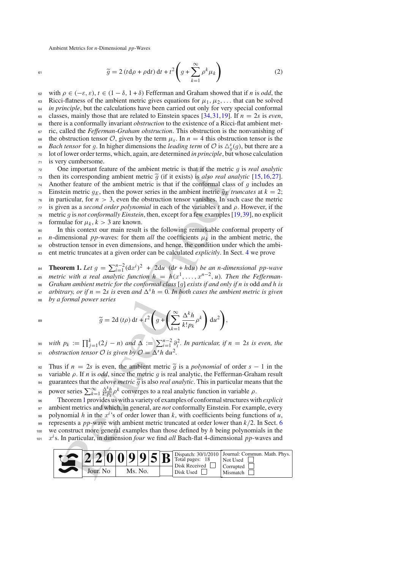<span id="page-2-1"></span>
$$
\widetilde{g} = 2 (t d\rho + \rho dt) dt + t^2 \left( g + \sum_{k=1}^{\infty} \rho^k \mu_k \right)
$$
 (2)

<sup>62</sup> with ρ ∈ (−ε, ε), *t* ∈ (1 − δ, 1 + δ) Fefferman and Graham showed that if *n* is *odd*, the 63 Ricci-flatness of the ambient metric gives equations for  $\mu_1, \mu_2, \ldots$  that can be solved  $64$  *in principle*, but the calculations have been carried out only for very special conformal 65 classes, mainly those that are related to Einstein spaces [\[34,](#page-17-11)[31](#page-17-12)[,19](#page-16-14)]. If  $n = 2s$  is *even*, <sup>66</sup> there is a conformally invariant *obstruction* to the existence of a Ricci-flat ambient met-<sup>67</sup> ric, called the *Fefferman-Graham obstruction*. This obstruction is the nonvanishing of the obstruction tensor  $\mathcal{O}$ , given by the term  $\mu_s$ . In  $n = 4$  this obstruction tensor is the *Bach tensor* for a In higher dimensions the *leading term* of  $\mathcal{O}$  is  $\wedge^s(a)$  but there are a *Bach tensor* for *g*. In higher dimensions the *leading term* of  $\mathcal{O}$  is  $\Delta_g^s(g)$ , but there are a lot of lower order terms, which again, are determined *in principle* but whose calculation <sup>70</sup> lot of lower order terms, which, again, are determined *in principle*, but whose calculation <sup>71</sup> is very cumbersome.

the interation feature of the ambient metric is that if the metrical<br>its corresponding ambient metric  $\tilde{g}$  (if it exists) is *day* or al an<br>ther feature of the ambient metric is that if the conformal class<br>tricular, f 72 One important feature of the ambient metric is that if the metric *g* is *real analytic*<br>then its corresponding ambient metric  $\tilde{q}$  (if it exists) is *also real analytic* [15.16.27]. 73 then its corresponding ambient metric  $\tilde{g}$  (if it exists) is *also real analytic* [\[15](#page-16-10),[16,](#page-16-11)[27\]](#page-17-13). 74 Another feature of the ambient metric is that if the conformal class of *g* includes an  $\tau_5$  Einstein metric  $g_F$ , then the power series in the ambient metric  $\tilde{g}_F$  truncates at  $k = 2$ . 75 Einstein metric  $g_E$ , then the power series in the ambient metric  $\tilde{g}_E$  *truncates* at  $k = 2$ ;<br><sup>76</sup> in particular, for  $n > 3$ , even the obstruction tensor vanishes. In such case the metric in particular, for  $n > 3$ , even the obstruction tensor vanishes. In such case the metric <sup>77</sup> is given as a *second order polynomial* in each of the variables *t* and ρ. However, if the <sup>78</sup> metric *g* is *not conformally Einstein*, then, except for a few examples [\[19](#page-16-14)[,39](#page-17-14)], no explicit  $\tau$ <sup>9</sup> formulae for  $\mu$ ,  $k > 3$  are known. formulae for  $\mu_k$ ,  $k > 3$  are known. <sup>80</sup> In this context our main result is the following remarkable conformal property of

81 *n*-dimensional *pp*-waves: for them *all* the coefficients  $\mu_k$  in the ambient metric, the <sup>82</sup> obstruction tensor in even dimensions, and hence, the condition under which the ambi-

<span id="page-2-0"></span><sup>83</sup> ent metric truncates at a given order can be calculated *explicitly*. In Sect. [4](#page-6-0) we prove

**Theorem 1.** Let  $g = \sum_{i=1}^{n-2} (dx^i)^2 + 2du$   $(dr + hdu)$  *be an n-dimensional pp-wave*<br>*n*<sub>n</sub> matric with a real analytic function  $h = h(a^1, a^{n-2}, u)$ . Then the Eaffarman <sup>85</sup> metric with a real analytic function  $h = h(x^1, \ldots, x^{n-2}, u)$ . Then the Fefferman-<br><sup>86</sup> Graham ambient metric for the conformal class [q] exists if and only if n is odd and h is 86 *Graham ambient metric for the conformal class* [g] *exists if and only if n is* odd *and h is arbitrary, or if n* = 2*s is* even *and*  $\Delta^s h = 0$ . In *both cases the ambient metric is given arbitrary, or if*  $n = 2s$  *is* even *and*  $\Delta^{s} h = 0$ *. In both cases the ambient metric is given* <sup>88</sup> *by a formal power series*

$$
\widetilde{g} = 2d(t\rho) dt + t^2 \left( g + \left( \sum_{k=1}^{\infty} \frac{\Delta^k h}{k! p_k} \rho^k \right) du^2 \right),
$$

<sup>90</sup> with  $p_k := \prod_{j=1}^k (2j - n)$  and  $\Delta := \sum_{i=1}^{n-2} \partial_i^2$ . In particular, if  $n = 2s$  is even, the *obstruction tensor* $\mathcal{O}$ *is given by* $\mathcal{O} = \Delta^s h \, du^2$ **.** 

92 Thus if  $n = 2s$  is even, the ambient metric  $\tilde{g}$  is a *polynomial* of order  $s - 1$  in the variable *o*. If *n* is *odd*, since the metric *a* is real analytic, the Fefferman-Graham result 93 variable *ρ*. If *n* is *odd*, since the metric *g* is real analytic, the Fefferman-Graham result puremeters that the *above metric*  $\tilde{a}$  is also *real analytic*. This in particular means that the 94 guarantees that the *above metric*  $\tilde{g}$  is also *real analytic*. This in particular means that the nower series  $\sum_{n=1}^{\infty} \frac{\Delta^k h}{\rho} \rho^k$  converges to a real analytic function in variable  $\rho$ .

power series  $\sum_{k=1}^{\infty} \frac{\Delta^k h}{k! p_k}$ <sup>95</sup> power series  $\sum_{k=1}^{\infty} \frac{\Delta^k h}{k! p_k} \rho^k$  converges to a real analytic function in variable  $\rho$ .

 Theorem1 provides us with a variety of examples of conformal structures with *explicit* ambient metrics and which, in general, are *not* conformally Einstein. For example, every polynomial *h* in the  $x^i$ 's of order lower than *k*, with coefficients being functions of *u*, represents a *pp*-wave with ambient metric truncated at order lower than  $k/2$ . In Sect. 6 represents a *pp*-wave with ambient metric truncated at order lower than *k*/2. In Sect. [6](#page-10-0) we construct more general examples than those defined by *h* being polynomials in the  $x<sup>i</sup>$  s. In particular, in dimension *four* we find *all* Bach-flat 4-dimensional *pp*-waves and

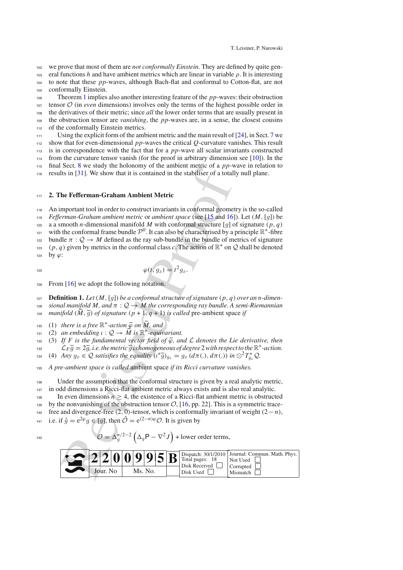<sup>102</sup> we prove that most of them are *not conformally Einstein*. They are defined by quite gen-

<sup>103</sup> eral functions *h* and have ambient metrics which are linear in variable ρ. It is interesting

<sup>104</sup> to note that these *pp*-waves, although Bach-flat and conformal to Cotton-flat, are not

 conformally Einstein. Theorem [1](#page-2-0) implies also another interesting feature of the *pp*-waves: their obstruction tensor  $O$  (in *even* dimensions) involves only the terms of the highest possible order in<br>the derivatives of their metric; since *all* the lower order terms that are usually present in the derivatives of their metric; since *all* the lower order terms that are usually present in the obstruction tensor are *vanishing*, the *pp*-waves are, in a sense, the closest cousins of the conformally Einstein metrics. Using the explicit form of the ambient metric and the main result of [\[24\]](#page-17-15), in Sect. [7](#page-13-0) we

 show that for even-dimensional *pp*-waves the critical *Q*-curvature vanishes. This result is in correspondence with the fact that for a *pp*-wave all scalar invariants constructed from the curvature tensor vanish (for the proof in arbitrary dimension see [\[10\]](#page-16-15)). In the final Sect. [8](#page-15-0) we study the holonomy of the ambient metric of a *pp*-wave in relation to

<sup>116</sup> results in [\[31](#page-17-12)]. We show that it is contained in the stabiliser of a totally null plane.

#### <sup>117</sup> **2. The Fefferman-Graham Ambient Metric**

set. a we state your motionfunction in the motion of  $apP$ -<br>the state in [31]. We show that it is contained in the stabiliser of a total<br>the **Fefferman-Graham Ambient Metric**<br>**the Fefferman-Graham Ambient Metric**<br>**Pr[oo](#page-16-10)f an** <sup>118</sup> An important tool in order to construct invariants in conformal geometry is the so-called *n*<sup>119</sup> *Fefferman-Graham ambient metric* or *ambient space* (see [15 and 16]). Let  $(M, [g])$  be a a smooth *n*-dimensional manifold M with conformal structure  $[a]$  of signature  $(p, a)$ 120 a a smooth *n*-dimensional manifold *M* with conformal structure [*g*] of signature (*p*, *q*) with the conformal frame bundle  $\mathcal{P}^0$ . It can also be characterised by a principle  $\mathbb{R}^+$ -fibre with the conformal frame bundle  $\mathcal{P}^0$ . It can also be characterised by a principle  $\mathbb{R}^+$ -fibre bundle  $\pi: \mathcal{Q} \to M$  defined as the ray sub-bundle in the bundle of metrics of signature timum bundle π : *Q* → *M* defined as the ray sub-bundle in the bundle of metrics of signature  $(n, q)$  given by metrics in the conformal class c. The action of  $\mathbb{R}^+$  on *O* shall be denoted (*p*, *q*) given by metrics in the conformal class *c*. The action of  $\mathbb{R}^+$  on  $\mathcal Q$  shall be denoted by  $\omega$ : by  $\varphi$ :

$$
125 \\
$$

 $\varphi(t, g_x) = t^2 g_x.$ 

<span id="page-3-0"></span><sup>126</sup> From [\[16](#page-16-11)] we adopt the following notation.

- 127 **Definition 1.** *Let*  $(M, [g])$  *be a conformal structure of signature*  $(p, q)$  *over an n-dimen-*<br>
128 *sional manifold*  $M$ , and  $\pi : O \rightarrow M$  the corresponding ray bundle. A semi-Riemannian <sup>128</sup> *sional manifold M, and* π : *Q* → *M the corresponding ray bundle. A semi-Riemannian*
- *n*<sub>29</sub> *manifold*  $(M, \tilde{g})$  *of signature*  $(p + 1, q + 1)$  *is called* pre-ambient space *if*
- <sup>130</sup> (1) *there is a free*  $\mathbb{R}^+$ -action  $\widetilde{\varphi}$  *on*  $\widetilde{M}$ *, and*<br><sup>131</sup> (2) *an embedding*  $\iota: O \to \widetilde{M}$  *is*  $\mathbb{R}^+$ -equiv
- <sup>131</sup> (2) *an embedding*  $\iota : \mathcal{Q} \to \widetilde{M}$  *is*  $\mathbb{R}^+$ -equivariant.<br><sup>132</sup> (3) If *F* is the fundamental vector field of  $\widetilde{\varphi}$ , an
- 132 (3) *If F is the fundamental vector field of*  $\tilde{\varphi}$ , and  $\mathcal L$  *denotes the Lie derivative, then*<br>133  $\mathcal L_F \tilde{\varphi} = 2\tilde{\varphi}$ , *i.e. the metric*  $\tilde{\varphi}$  *is homogeneous of degree* 2 with respect to the  $\mathbb{R}$
- <sup>133</sup>  $L_F \widetilde{g} = 2\widetilde{g}$ , *i.e. the metric*  $\widetilde{g}$  *is homogeneous of degree* 2*with respect to the*  $\mathbb{R}^+$ -action.<br><sup>134</sup> (4) *Any*  $a_x \in \mathcal{O}$  *satisifies the equality*  $(\ell^*\widetilde{g})_x = a_x (d\pi(.) d\pi())$  in  $\odot^2 T^* \$
- $f(x^* \tilde{g})_{g_x} = g_x(d\pi(.), d\pi(.))$  *in*  $\bigodot^2 T_{g_x}^* \mathcal{Q}$ .<br> *c*  $f(x; \tilde{g})_{g_x} = g_x(d\pi(.), d\pi(.))$  *in*  $\bigodot^2 T_{g_x}^* \mathcal{Q}$ .

<sup>135</sup> *A pre-ambient space is called* ambient space *if its Ricci curvature vanishes.*

<sup>136</sup> Under the assumption that the conformal structure is given by a real analytic metric, <sup>137</sup> in odd dimensions a Ricci-flat ambient metric always exists and is also real analytic.

138 In even dimensions  $n > 4$ , the existence of a Ricci-flat ambient metric is obstructed

139 by the nonvanishing of the obstruction tensor  $\mathcal{O}$ , [\[16](#page-16-11), pp. 22]. This is a symmetric trace-

<sup>140</sup> free and divergence-free (2, 0)-tensor, which is conformally invariant of weight (2−*n*),

```
i.e. if \hat{g} = e^{2\varphi} g \in [g], then \hat{O} = e^{(2-n)\varphi} O. It is given by
```

$$
\mathcal{O} = \Delta_g^{n/2 - 2} \left( \Delta_g \mathsf{P} - \nabla^2 J \right) + \text{lower order terms},
$$

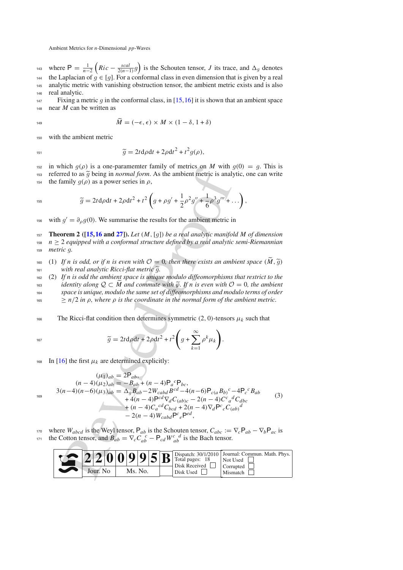where  $P = \frac{1}{n-2} \left( Ric - \frac{scal}{2(n-1)} g$ <sup>143</sup> where  $P = \frac{1}{n-2} \left( Ric - \frac{scal}{2(n-1)} g \right)$  is the Schouten tensor, *J* its trace, and  $\Delta_g$  denotes the Laplacian of  $g \in [g]$ . For a conformal class in even dimension that is given by a real analytic metric with vanishing obstruction tensor, the ambient metric exists and is also analytic metric with vanishing obstruction tensor, the ambient metric exists and is also <sup>146</sup> real analytic.

Fixing a metric  $g$  in the conformal class, in [\[15](#page-16-10),[16\]](#page-16-11) it is shown that an ambient space<br><sup>148</sup> near  $M$  can be written as near *M* can be written as

$$
\widetilde{M} = (-\epsilon, \epsilon) \times M \times (1 - \delta, 1 + \delta)
$$

<sup>150</sup> with the ambient metric

$$
\widetilde{g} = 2t \mathrm{d}\rho \mathrm{d}t + 2\rho \mathrm{d}t^2 + t^2 g(\rho),
$$

<sup>152</sup> in which  $g(\rho)$  is a one-paramemter family of metrics on *M* with  $g(0) = g$ . This is referred to as  $\tilde{q}$  being in *normal form*. As the ambient metric is analytic, one can write 153 referred to as  $\tilde{g}$  being in *normal form*. As the ambient metric is analytic, one can write the family  $q(\rho)$  as a power series in  $\rho$ , the family  $q(\rho)$  as a power series in  $\rho$ ,

$$
\widetilde{g} = 2t\mathrm{d}\rho\mathrm{d}t + 2\rho\mathrm{d}t^2 + t^2\left(g + \rho g' + \frac{1}{2}\rho^2 g'' + \frac{1}{6}\rho^3 g''' + \ldots\right),
$$

<sup>156</sup> with  $g' = \partial_{\rho} g(0)$ . We summarise the results for the ambient metric in

**157 <b>Theorem 2** (**[\[15,](#page-16-10)[16](#page-16-11) and [27\]](#page-17-13)**). Let  $(M, [g])$  be a real analytic manifold M of dimension  $n > 2$  equipped with a conformal structure defined by a real analytic semi-Riemannian  $n \geq 2$  equipped with a conformal structure defined by a real analytic semi-Riemannian <sup>159</sup> *metric g.*

160 (1) If *n* is odd, or if *n* is even with  $O = 0$ , then there exists an ambient space  $(\widetilde{M}, \widetilde{g})$  with real analytic Ricci-flat metric  $\widetilde{q}$ . 161 *with real analytic Ricci-flat metric*  $\tilde{g}$ .<br>
162 (2) If *n is odd the ambient space is uniqu* 

<span id="page-4-1"></span><sup>162</sup> (2) *If n is odd the ambient space is unique modulo diffeomorphisms that restrict to the* <sup>163</sup> *identity along <sup>Q</sup>* <sup>⊂</sup> *M and commute with* ϕ*. If n is even with <sup>O</sup>* <sup>=</sup> <sup>0</sup>*, the ambient* space is unique, modulo the same set of diffeomorphisms and modulo terms of order

 $n_{165} \ge n/2$  *in*  $\rho$ *, where*  $\rho$  *is the coordinate in the normal form of the ambient metric.* 

166 The Ricci-flat condition then determines symmetric  $(2, 0)$ -tensors  $\mu_k$  such that

$$
^{167}
$$

 $\widetilde{g} = 2t d\rho dt + 2\rho dt^2 + t^2$ *g* +  $\sum^{\infty}$ *k*=1  $\rho^k\mu_k$  $\widetilde{g} = 2t \mathrm{d}\rho \mathrm{d}t + 2\rho \mathrm{d}t^2 + t^2 \left[ g + \sum \rho^k \mu_k \right].$ 

168 In [\[16](#page-16-11)] the first  $\mu_k$  are determined explicitly:

183 in which *g*(*ρ*) is a one-parameter family of metrics on *M* with *g*(*θ*) = *g*. This is referred to as 
$$
\tilde{g}
$$
 being in *normal form*. As the ambient metric is analytic, one can write the family *g*(*ρ*) as a power series in *ρ*,  $\tilde{g} = 2t d\rho dt + 2\rho dt^2 + t^2 \left( g + \rho g' + \frac{1}{2}\rho^2 g'' + \frac{1}{6}\rho^3 g''' + ...\right)$ ,  
195 with  $g' = \partial_\rho g(0)$ . We summarise the results for the ambient metric in  
197 Theorem 2 (115,16 and 27]). Let  $(M, [g])$  be a real analytic manifold *M* of dimension  $n \geq 2$  equipped with a conformal structure defined by a real analytic semi-Riemannian metric *g*.  
198 (1) If *n* is odd, or if *n* is even with *O* = 0, then there exists an ambient space ( $\tilde{M}, \tilde{g}$ )  
199 (2) If *n* is odd, or if *n* is even with *O* = 0, then there exists an ambient space ( $\tilde{M}, \tilde{g}$ )  
191 is a unit, *Q* ⊂  $\tilde{M}$  and commute with  $\tilde{g}$ . If *n* is even with *O* = 0, the ambient space is unique modulo different  $\tilde{g}$ .  
198 (2) If *n* is odd the ambient space is unique modulo different in the normal form of the ambient metric.  
1999 (3) If *n* is odd, or if *n* is even with *O* = 0, then the normal form of the ambient metric.  
19199 (4) If *q* is even with *O* = 0, then the normal form of the ambient metric.  
1920 (4) If *q* is even with *O* = 0, then the normal form of the ambient metric.  
19320 (4) If *q* is even with *O* = 0, then the normal form of the *q*-th term of *q*-th term of *q*-th term of *q*-th term of *q*-th term of *q*-th term of

<span id="page-4-0"></span>170 where  $W_{abcd}$  is the Weyl tensor,  $P_{ab}$  is the Schouten tensor,  $C_{abc} := \nabla_c P_{ab} - \nabla_b P_{ac}$  is the Cotton tensor, and  $B_{ab} = \nabla_c C_{ab}^c - P_{cd} W_{ab}^c{}^d$  is the Bach tensor.

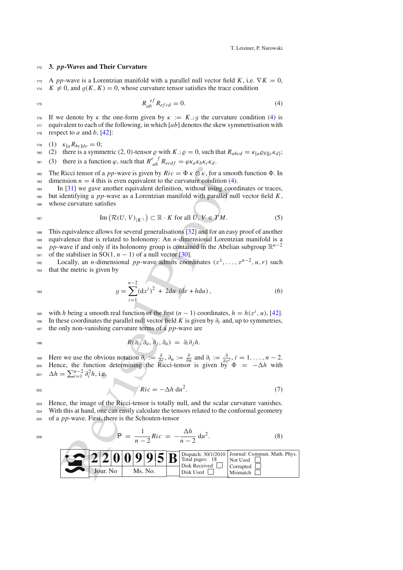#### <span id="page-5-2"></span><sup>172</sup> **3.** *pp***-Waves and Their Curvature**

173 A *pp*-wave is a Lorentzian manifold with a parallel null vector field *K*, i.e.  $\nabla K = 0$ ,  $K \neq 0$ , and  $g(K, K) = 0$ , whose curvature tensor satisfies the trace condition

<span id="page-5-0"></span>
$$
R_{ab}^{ef} R_{efcd} = 0.
$$
 (4)

If we denote by *κ* the one-form given by  $\kappa := K \perp g$  the curvature condition [\(4\)](#page-5-0) is equivalent to each of the following, in which [*ab*] denotes the skew symmetrisation with equivalent to each of the following, in which  $[ab]$  denotes the skew symmetrisation with 178 respect to *a* and *b*,  $[42]$  $[42]$ :

$$
_{179} (1) \quad \kappa_{[a} R_{bc]de} = 0;
$$

 $t<sub>180</sub>$  (2) there is a symmetric (2, 0)-tensor *ρ* with *K*<sup>⊥</sup>*ρ* = 0, such that  $R_{abcd} = \kappa_{[a} \rho_{b][c} \kappa_{d]}$ ;

(3) there is a function  $\varphi$ , such that  $R_{ab}^{e}{}^f R_{ecdf} = \varphi \kappa_a \kappa_b \kappa_c \kappa_d$ .

182 The Ricci tensor of a *pp*-wave is given by  $Ric = \Phi \kappa \otimes \kappa$ , for a smooth function  $\Phi$ . In  $\lim_{n \to \infty}$  dimension  $n = 4$  this is even equivalent to the curvature condition [\(4\)](#page-5-0).

<sup>184</sup> In [\[31](#page-17-12)] we gave another equivalent definition, without using coordinates or traces, <sup>185</sup> but identifying a *pp*-wave as a Lorentzian manifold with parallel null vector field *K*, <sup>186</sup> whose curvature satisfies

$$
\operatorname{Im} \left( \mathcal{R}(U, V)_{|K^{\perp}} \right) \subset \mathbb{R} \cdot K \text{ for all } U, V \in TM. \tag{5}
$$

<sup>188</sup> This equivalence allows for several generalisations [32] and for an easy proof of another <sup>189</sup> equivalence that is related to holonomy: An *n*-dimensional Lorentzian manifold is a <sup>190</sup> *pp*-wave if and only if its holonomy group is contained in the Abelian subgroup  $\mathbb{R}^{n-2}$ 

191 of the stabiliser in SO(1,  $n - 1$ ) of a null vector [30].

Locally, an *n*-dimensional *pp*-wave admits coordinates  $(x^1, \ldots, x^{n-2}, u, r)$  such that the metric is given by that the metric is given by

<span id="page-5-1"></span>
$$
g = \sum_{i=1}^{n-2} (dx^i)^2 + 2du (dr + hdu), \qquad (6)
$$

with *h* being a smooth real function of the first  $(n - 1)$  coordinates,  $h = h(x^i, u)$ , [\[42\]](#page-17-2).<br>In these coordinates the parallel null vector field K is given by  $\partial_r$  and, up to symmetries. In these coordinates the parallel null vector field *K* is given by  $\partial_r$  and, up to symmetries, <sup>197</sup> the only non-vanishing curvature terms of a *pp*-wave are

$$
R(\partial_i, \partial_u, \partial_j, \partial_u) = \partial_i \partial_j h.
$$

Here we use the obvious notation  $\partial_r := \frac{\partial}{\partial r}, \ \partial_u := \frac{\partial}{\partial u}$  and  $\partial_i := \frac{\partial}{\partial x^i}, i = 1, ..., n-2$ .<br>
Hence, the function determining the Ricci-tensor is given by  $\Phi = -\Delta h$  with  $\Delta h = \sum_{i=1}^{n-2} \partial_i^2 h$ , i.e.

$$
^{202}
$$

$$
Ric = -\Delta h \, du^2. \tag{7}
$$

<sup>203</sup> Hence, the image of the Ricci-tensor is totally null, and the scalar curvature vanishes. <sup>204</sup> With this at hand, one can easily calculate the tensors related to the conformal geometry <sup>205</sup> of a *pp*-wave. First, there is the Schouten-tensor

$$
P = \frac{1}{n-2} Ric = -\frac{\Delta h}{n-2} du^2.
$$
 (8)

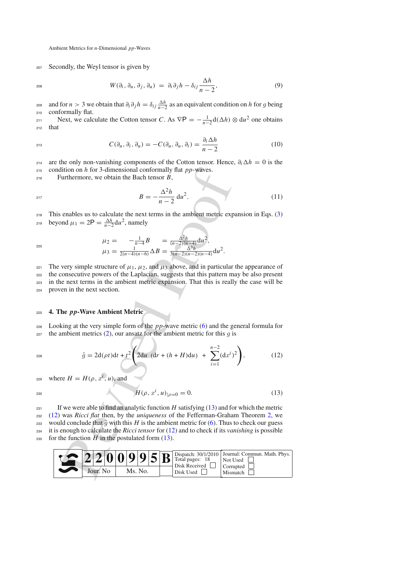<sup>207</sup> Secondly, the Weyl tensor is given by

<span id="page-6-4"></span>
$$
W(\partial_i, \partial_u, \partial_j, \partial_u) = \partial_i \partial_j h - \delta_{ij} \frac{\Delta h}{n-2}, \qquad (9)
$$

and for *n* > 3 we obtain that  $\partial_i \partial_j h = \delta_{ij} \frac{\Delta h}{n-2}$  as an equivalent condition on *h* for *g* being conformally flat <sup>210</sup> conformally flat.

Next, we calculate the Cotton tensor *C*. As  $\nabla P = -\frac{1}{n-2} d(\Delta h) \otimes du^2$  one obtains <sup>212</sup> that

$$
C(\partial_u, \partial_i, \partial_u) = -C(\partial_u, \partial_u, \partial_i) = \frac{\partial_i \Delta h}{n-2}
$$
 (10)

214 are the only non-vanishing components of the Cotton tensor. Hence,  $\partial_i \Delta h = 0$  is the <sup>215</sup> condition on *h* for 3-dimensional conformally flat *pp*-waves.

<sup>216</sup> Furthermore, we obtain the Bach tensor *B*,

<span id="page-6-3"></span>
$$
B = -\frac{\Delta^2 h}{n - 2} \, \mathrm{d}u^2. \tag{11}
$$

<sup>218</sup> This enables us to calculate the next terms in the ambient metric expansion in Eqs. [\(3\)](#page-4-0) beyond  $\mu_1 = 2P = \frac{\Delta h}{n-2} du^2$ , namely

$$
\mu_2 = -\frac{1}{n-4}B = \frac{\Delta^2 h}{(n-2)(n-4)} \mathrm{d}u^2,
$$
  

$$
\mu_3 = \frac{1}{2(n-4)(n-6)} \Delta B = \frac{\Delta^3 h}{3(n-2)(n-2)(n-4)} \mathrm{d}u^2.
$$

221 The very simple structure of  $\mu_1$ ,  $\mu_2$ , and  $\mu_3$  above, and in particular the appearance of the consecutive powers of the Laplacian, suggests that this pattern may be also present in the next terms in the ambient metric expansion. That this is really the case will be proven in the next section.

### <span id="page-6-0"></span><sup>225</sup> **4. The** *pp***-Wave Ambient Metric**

<sup>226</sup> Looking at the very simple form of the *pp*-wave metric [\(6\)](#page-5-1) and the general formula for  $227$  the ambient metrics (2), our ansatz for the ambient metric for this *g* is

<span id="page-6-2"></span>
$$
\bar{g} = 2d(\rho t)dt + t^2 \left(2du \left(dr + (h+H)du\right) + \sum_{i=1}^{n-2} (dx^i)^2\right),\tag{12}
$$

 $x^{229}$  where  $H = H(\rho, x^i, u)$ , and

<span id="page-6-1"></span>
$$
H(\rho, x^i, u)|_{\rho=0} = 0.
$$
 (13)

lition on h for 3-dimensional conformally flat pp-waves.<br>
urthermore, we obtain the Bach tensor B,<br>  $B = -\frac{\Delta^2 h}{n-2} du^2$ .<br>
enables us to calculate the next terms in the ambient metric exp<br>
and  $\mu_1 = 2P = \frac{\Delta^2 h}{n-2} du^2$ ,  $_{231}$  If we were able to find an analytic function *H* satisfying [\(13\)](#page-6-1) and for which the metric <sup>232</sup> [\(12\)](#page-6-2) was *Ricci flat* then, by the *uniqueness* of the Fefferman-Graham Theorem [2,](#page-4-1) we 233 would conclude that  $\bar{g}$  with this *H* is the ambient metric for [\(6\)](#page-5-1). Thus to check our guess<br>234 it is enough to calculate the *Ricci tensor* for (12) and to check if its *vanishing* is possible <sup>234</sup> it is enough to calculate the *Ricci tensor* for [\(12\)](#page-6-2) and to check if its *vanishing* is possible 235 for the function  $H$  in the postulated form  $(13)$ .

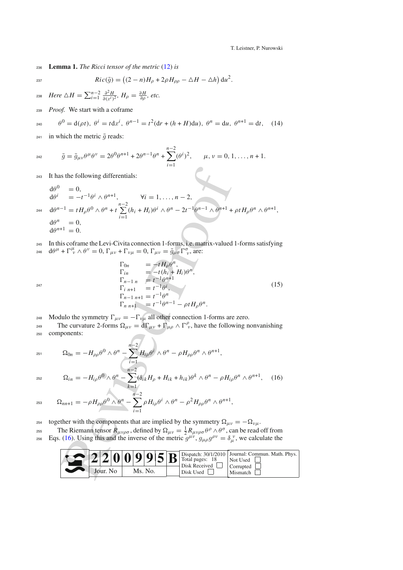T. Leistner, P. Nurowski

<sup>236</sup> **Lemma 1.** *The Ricci tensor of the metric* [\(12\)](#page-6-2) *is*

$$
Ric(\bar{g}) = ((2-n)H_{\rho} + 2\rho H_{\rho\rho} - \Delta H - \Delta h) du^{2}.
$$

*Here*  $\triangle H = \sum_{i=1}^{n-2} \frac{\partial^2 H}{\partial (x^i)^2}$ ,  $H_\rho = \frac{\partial H}{\partial \rho}$ , etc.

<sup>239</sup> *Proof.* We start with a coframe

<span id="page-7-1"></span>
$$
e^{0} = d(\rho t), \ \theta^{i} = t dx^{i}, \ \theta^{n-1} = t^{2}(dr + (h + H)du), \ \theta^{n} = du, \ \theta^{n+1} = dt,
$$
 (14)

241 in which the metric  $\bar{g}$  reads:

$$
\bar{g} = \bar{g}_{\mu\nu}\theta^{\mu}\theta^{\nu} = 2\theta^0\theta^{n+1} + 2\theta^{n-1}\theta^n + \sum_{i=1}^{n-2} (\theta^i)^2, \qquad \mu, \nu = 0, 1, \dots, n+1.
$$

<sup>243</sup> It has the following differentials:

243 It has the following differentials:  
\n
$$
d\theta^{0} = 0,
$$
\n
$$
d\theta^{i} = -t^{-1}\theta^{i} \wedge \theta^{n+1}, \qquad \forall i = 1, ..., n-2,
$$
\n244 
$$
d\theta^{n-1} = tH_{\rho}\theta^{0} \wedge \theta^{n} + t\sum_{i=1}^{n-2} (h_{i} + H_{i})\theta^{i} \wedge \theta^{n} - 2t^{-1}\theta^{n-1} \wedge \theta^{n+1} + \rho tH_{\rho}\theta^{n} \wedge \theta^{n+1},
$$
\n
$$
d\theta^{n} = 0,
$$
\n
$$
d\theta^{n+1} = 0.
$$
\nIn this of name the Levi-Civita connection 1-forms, i.e. matrix-valued 1-forms satisfying  
\n245 
$$
d\theta^{\mu} + \Gamma_{\nu}^{\mu} \wedge \theta^{\nu} = 0, \Gamma_{\mu\nu} + \Gamma_{\nu\mu} = 0, \Gamma_{\mu\nu} = g_{\mu\sigma} \Gamma_{\nu}^{\sigma},
$$
\n
$$
\Gamma_{\nu} = -tH_{\mu}\theta^{\mu},
$$
\n
$$
\Gamma_{\nu} = -tH_{\mu}\theta^{\mu},
$$
\n
$$
\Gamma_{\nu} = -tH_{\mu} + H_{i} + H_{i} + H_{i} + H_{i}.
$$
\n(14) 
$$
\Gamma_{\nu} = 1 - t^{-1}H_{\nu}.
$$
\n(15) 
$$
\Gamma_{\nu} = -t^{-1}H_{\nu} + \Gamma_{\mu} = t^{-1}H_{\nu}.
$$
\n(16) 
$$
\Gamma_{\nu} = -\Gamma_{\nu} \mu
$$
 and other connection 1-forms are zero. The curvature 2-forms 
$$
\Omega_{\mu\nu} = d\Gamma_{\mu\nu} + \Gamma_{\mu\rho} \wedge \Gamma_{\nu}^{\rho},
$$
 have the following nonvanishin components:  
\n251 
$$
\Omega_{0n} = -H_{\rho\rho}\theta^{0} \wedge \theta^{n} - \sum_{i=1}^{n-2} H_{i\rho}\theta^{i} \wedge \theta^{n} - \rho H_{\rho\rho}\theta^{n} \wedge \theta^{n+1},
$$
\n
$$
\Omega_{\nu} = -H_{\mu\rho}\theta^{0}
$$

246 In this coframe the Levi-Civita connection 1-forms, i.e. matrix-valued 1-forms satisfying<br>
246  $dθ^{\mu} + \Gamma^{\mu}_{\nu} \wedge θ^{\nu} = 0$ ,  $\Gamma_{\mu\nu} + \Gamma_{\nu\mu} = 0$ ,  $\Gamma_{\mu\nu} = \bar{g}_{\mu\sigma} \Gamma^{\sigma}_{\nu}$ , are:

<span id="page-7-2"></span>
$$
\Gamma_{0n} = -tH_{\rho}\theta^{n},
$$
\n
$$
\Gamma_{in} = -t(h_{i} + H_{i})\theta^{n},
$$
\n
$$
\Gamma_{n-1 n} = t^{-1}\theta^{n+1},
$$
\n
$$
\Gamma_{i n+1} = t^{-1}\theta^{i},
$$
\n
$$
\Gamma_{n-1 n+1} = t^{-1}\theta^{n},
$$
\n
$$
\Gamma_{n n+1} = t^{-1}\theta^{n-1} - \rho tH_{\rho}\theta^{n}.
$$
\n(15)

248 Modulo the symmetry  $\Gamma_{\mu\nu} = -\Gamma_{\nu\mu}$  all other connection 1-forms are zero.

The curvature 2-forms  $\Omega_{\mu\nu} = d\Gamma_{\mu\nu} + \Gamma_{\mu\rho} \wedge \Gamma^{\rho}_{\nu}$ , have the following nonvanishing <sup>250</sup> components:

<span id="page-7-0"></span>
$$
\Omega_{0n} = -H_{\rho\rho}\theta^0 \wedge \theta^n - \sum_{i=1}^{n-2} H_{i\rho}\theta^i \wedge \theta^n - \rho H_{\rho\rho}\theta^n \wedge \theta^{n+1},
$$
\n
$$
\Omega_{0n} = -H_{\rho\rho}\theta^0 \wedge \theta^n - \sum_{i=1}^{n-2} (S_{i}, H_{i+1}, H_{i+1}, \mu_{i+1})\theta^k \wedge \theta^n - \rho H_{\rho\sigma}\theta^n \wedge \theta^{n+1} \qquad (16)
$$

$$
\Omega_{in} = -H_{i\rho}\theta^0 \wedge \theta^n - \sum_{k=1}^{n-2} (\delta_{ik}H_{\rho} + H_{ik} + h_{ik})\theta^k \wedge \theta^n - \rho H_{i\rho}\theta^n \wedge \theta^{n+1}, \quad (16)
$$

$$
\Omega_{nn+1} = -\rho H_{\rho\rho}\theta^0 \wedge \theta^n - \sum_{i=1}^{n-2} \rho H_{i\rho}\theta^i \wedge \theta^n - \rho^2 H_{\rho\rho}\theta^n \wedge \theta^{n+1},
$$

<sup>254</sup> together with the components that are implied by the symmetry  $\Omega_{\mu\nu} = -\Omega_{\nu\mu}$ .

The Riemann tensor  $R_{\mu\nu\rho\sigma}$ , defined by  $\Omega_{\mu\nu} = \frac{1}{2} R_{\mu\nu\rho\sigma} \theta^{\rho} \wedge \theta^{\sigma}$ , can be read off from Eqs. (16). Using this and the inverse of the metric  $g^{\mu\nu}$ ,  $g_{\mu\rho}g^{\rho\nu} = \delta_{\mu}^{\ \nu}$ , we calculate the

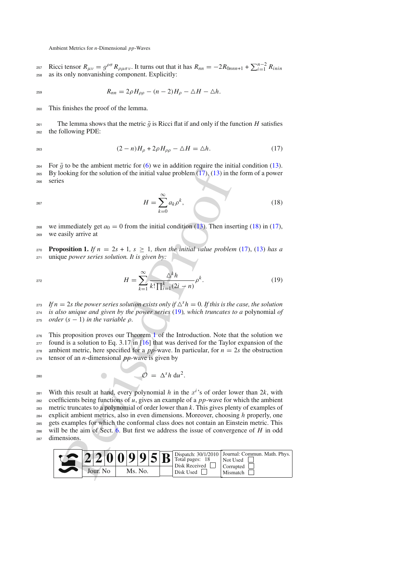Ricci tensor  $R_{\mu\nu} = g^{\rho\sigma} R_{\rho\mu\sigma\nu}$ . It turns out that it has  $R_{nn} = -2R_{0nnn+1} + \sum_{i=1}^{n-2} R_{i\eta}$  *Rinin*<br>255 as its only nonvanishing component Explicitly <sup>258</sup> as its only nonvanishing component. Explicitly:

$$
R_{nn} = 2\rho H_{\rho\rho} - (n-2)H_{\rho} - \Delta H - \Delta h.
$$

<sup>260</sup> This finishes the proof of the lemma.

261 The lemma shows that the metric  $\bar{g}$  is Ricci flat if and only if the function *H* satisfies<br>262 the following PDF: the following PDE:

<span id="page-8-0"></span>
$$
(2-n)H_{\rho} + 2\rho H_{\rho\rho} - \Delta H = \Delta h. \tag{17}
$$

<sup>264</sup> For  $\bar{g}$  to be the ambient metric for [\(6\)](#page-5-1) we in addition require the initial condition [\(13\)](#page-6-1).<br><sup>265</sup> By looking for the solution of the initial value problem (17). (13) in the form of a power By looking for the solution of the initial value problem  $(17)$ ,  $(13)$  in the form of a power

<sup>266</sup> series

<span id="page-8-1"></span>
$$
H = \sum_{k=0}^{\infty} a_k \rho^k, \qquad (18)
$$

<sup>268</sup> we immediately get  $a_0 = 0$  from the initial condition (13). Then inserting [\(18\)](#page-8-1) in [\(17\)](#page-8-0), <sup>269</sup> we easily arrive at

**Proposition 1.** If  $n = 2s + 1$ ,  $s \ge 1$ , then the initial value problem [\(17\)](#page-8-0), [\(13\)](#page-6-1) has a <sup>271</sup> unique *power series solution. It is given by:*

$$
H = \sum_{k=1}^{\infty} \frac{\Delta^k h}{k! \prod_{i=1}^k (2i - n)} \rho^k.
$$
 (19)

 $I$ *f*  $n = 2s$  *the power series solution exists only if*  $\Delta^{s} h = 0$ *. If this is the case, the solution* <sup>274</sup> *is also unique and given by the power series* [\(19\)](#page-8-2)*, which truncates to a* polynomial *of z*<sup>15</sup> *order*  $(s - 1)$  *in the variable*  $\rho$ *.* 

 This proposition proves our Theorem 1 of the Introduction. Note that the solution we found is a solution to Eq. 3.17 in [16] that was derived for the Taylor expansion of the 278 ambient metric, here specified for a  $pp$ -wave. In particular, for  $n = 2s$  the obstruction tensor of an *n*-dimensional *pp*-wave is given by

$$
\mathcal{O} = \Delta^s h \, \mathrm{d} u^2.
$$

y do b[e](#page-16-11) a anoment metal-tot (b) we in a[d](#page-2-0)dition (13). Then instants<br>  $H = \sum_{k=0}^{\infty} a_k \rho^k$  $H = \sum_{k=0}^{\infty} a_k \rho^k$  $H = \sum_{k=0}^{\infty} a_k \rho^k$ ,<br>
mmediately get  $a_0 = 0$  from the initial value problem (17), (13) in the<br>
system prover series solution of the initial value pro <sup>281</sup> With this result at hand, every polynomial *h* in the  $x^i$ 's of order lower than 2*k*, with coefficients being functions of *u*, gives an example of a *pp*-wave for which the ambient coefficients being functions of  $u$ , gives an example of a  $pp$ -wave for which the ambient metric truncates to a polynomial of order lower than *k*. This gives plenty of examples of explicit ambient metrics, also in even dimensions. Moreover, choosing *h* properly, one gets examples for which the conformal class does not contain an Einstein metric. This will be the aim of Sect. 6. But first we address the issue of convergence of *H* in odd dimensions.



<span id="page-8-2"></span>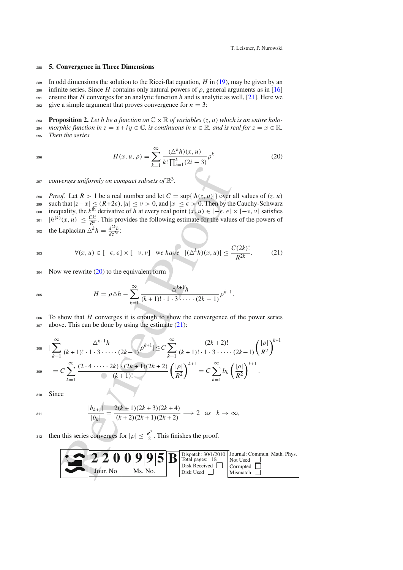#### <sup>288</sup> **5. Convergence in Three Dimensions**

289 In odd dimensions the solution to the Ricci-flat equation,  $H$  in [\(19\)](#page-8-2), may be given by an

<sup>290</sup> infinite series. Since *H* contains only natural powers of  $ρ$ , general arguments as in [\[16](#page-16-11)]  $291$  ensure that *H* converges for an analytic function *h* and is analytic as well, [\[21\]](#page-16-16). Here we

292 give a simple argument that proves convergence for  $n = 3$ :

**Proposition 2.** Let h be a function on  $\mathbb{C} \times \mathbb{R}$  of variables  $(z, u)$  which is an entire holo*z*<sub>294</sub> *morphic function in*  $z = x + iy \in \mathbb{C}$ *, is continuous in*  $u \in \mathbb{R}$ *, and is real for*  $z = x \in \mathbb{R}$ *.* Then the series **Then the series** 

<span id="page-9-0"></span>
$$
H(x, u, \rho) = \sum_{k=1}^{\infty} \frac{(\Delta^k h)(x, u)}{k! \prod_{i=1}^k (2i - 3)} \rho^k
$$
 (20)

*converges uniformly on compact subsets of*  $\mathbb{R}^3$ *.* 

- 298 *Proof.* Let  $R > 1$  be a real number and let  $C = \sup\{|h(z, u)|\}$  over all values of  $(z, u)$
- 299 such that  $|z-x| \leq (R+2\epsilon)$ ,  $|u| \leq v > 0$ , and  $|x| \leq \epsilon > 0$ . Then by the Cauchy-Schwarz<br>200 inequality, the k<sup>th</sup> derivative of h at every real point  $(x, u) \in [-\epsilon, \epsilon] \times [-v, v]$  satisfies
- inequality, the  $k^{\text{th}}$  derivative of *h* at every real point  $(x, u) \in [-\epsilon, \epsilon] \times [-\nu, \nu]$  satisfies<br>  $|h^{(k)}(x, u)| \leq \frac{Ck!}{\epsilon}$ . This provides the following estimate for the values of the powers of
- $|h^{(k)}(x, u)| \leq \frac{Ck!}{R^k}$ . This provides the following estimate for the values of the powers of
- $\int \frac{d^{2k}h}{dz^{2k}}$  is the Laplacian  $\Delta^k h = \frac{d^{2k}h}{dz^{2k}}$ .

<span id="page-9-1"></span>
$$
\forall (x, u) \in [-\epsilon, \epsilon] \times [-\nu, \nu] \quad \text{we have} \quad |(\Delta^k h)(x, u)| \le \frac{C(2k)!}{R^{2k}}.\tag{21}
$$

 $304$  Now we rewrite  $(20)$  to the equivalent form

$$
H = \rho \Delta h - \sum_{k=1}^{\infty} \frac{\Delta^{k+1} h}{(k+1)! \cdot 1 \cdot 3! \cdots (2k-1)} \rho^{k+1}.
$$

<sup>306</sup> To show that *H* converges it is enough to show the convergence of the power series  $307$  above. This can be done by using the estimate  $(21)$ :

237 converges uniformly on compact subsets of 
$$
\mathbb{R}^3
$$
.  
\n238 *Proof.* Let  $R > 1$  be a real number and let  $C = \sup\{|h(z, u)|\}$  over all values of  $(z, u)$   
\n239 *such that*  $|z-x| \le (R+2\epsilon)$ ,  $|u| \le v > 0$ , and  $|x| \le \epsilon > 0$ . Then by the Cauchy-Schwarz  
\n230  $|h^{(k)}(x, u)| \le \frac{Ck!}{k!}$ . This provides the following estimate for the values of the powers of  
\n231  $|h^{(k)}(x, u)| \le \frac{Ck!}{k!}$ . This provides the following estimate for the values of the powers of  
\n232 the Laplacian  $\Delta^k h = \frac{d^2k}{dz^2k}$ :  
\n24 Now we rewrite (20) to the equivalent form  
\n253  
\n254 Now we rewrite (20) to the equivalent form  
\n255  
\n256  
\n257  
\n258  
\n259  
\n250  
\n250  
\n251  
\n251  
\n252  
\n253  
\n254  
\n256  
\n257  
\n258  
\n259  
\n259  
\n250  
\n250  
\n251  
\n251  
\n252  
\n253  
\n254  
\n256  
\n257  
\n258  
\n259  
\n250  
\n251  
\n251  
\n252  
\n253  
\n254  
\n254  
\n255  
\n256  
\n257  
\n258  
\n259  
\n250  
\n251  
\n251  
\n252  
\n253  
\n254  
\n254  
\n255  
\n256  
\n256  
\n257  
\n258  
\n259  
\n250  
\n251  
\n251  
\n252  
\n253  
\n254  
\n254  
\n256  
\n257  
\n258  
\n259  
\n251  
\n251  
\n252  
\n253  
\n254  
\n254  
\n255  
\n256  
\n257  
\n258  
\n25

310 Since

$$
^{311}
$$

$$
\frac{|b_{k+1}|}{|b_k|} = \frac{2(k+1)(2k+3)(2k+4)}{(k+2)(2k+1)(2k+2)} \longrightarrow 2 \text{ as } k \to \infty,
$$

<sup>312</sup> then this series converges for  $|\rho| \leq \frac{R^2}{2}$ . This finishes the proof.

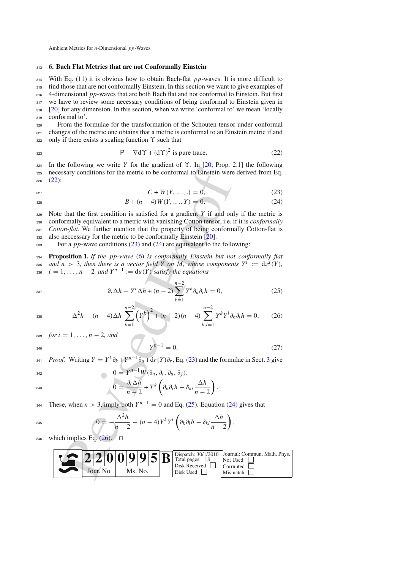#### <span id="page-10-0"></span><sup>313</sup> **6. Bach Flat Metrics that are not Conformally Einstein**

 With Eq. [\(11\)](#page-6-3) it is obvious how to obtain Bach-flat *pp*-waves. It is more difficult to find those that are not conformally Einstein. In this section we want to give examples of 4-dimensional *pp*-waves that are both Bach flat and not conformal to Einstein. But first 317 we have to review some necessary conditions of being conformal to Einstein given in [\[20](#page-16-9)] for any dimension. In this section, when we write 'conformal to' we mean 'locally conformal to'.

<sup>320</sup> From the formulae for the transformation of the Schouten tensor under conformal  $321$  changes of the metric one obtains that a metric is conformal to an Einstein metric if and  $322$  only if there exists a scaling function  $\Upsilon$  such that

<span id="page-10-1"></span>
$$
P - \nabla d\Upsilon + (d\Upsilon)^2 \text{ is pure trace.}
$$
 (22)

<sup>324</sup> In the following we write *Y* for the gradient of ϒ. In [\[20](#page-16-9), Prop. 2.1] the following <sup>325</sup> necessary conditions for the metric to be conformal to Einstein were derived from Eq. <sup>326</sup> [\(22\)](#page-10-1):

<span id="page-10-2"></span>
$$
C + W(Y, \dots, \dots) = 0,\tag{23}
$$

$$
^{327}
$$

$$
B + (n - 4)W(Y, \dots, Y) = 0.
$$
 (24)

is the the[o](#page-16-9)rem.<br>
Example the transformal to Ensign the True is the control of Finithering the transformal to Ensign the first condition is satisfied for a gradient Y if and on<br>
Example properties to the control of Basic C Note that the first condition is satisfied for a gradient *Y* if and only if the metric is conformally equivalent to a metric with vanishing Cotton tensor, i.e. if it is *conformally Cotton-flat*. We further mention that the property of being conformally Cotton-flat is also neccessary for the metric to be conformally Einstein [20].

<span id="page-10-4"></span><sup>333</sup> For a *pp*-wave conditions [\(23\)](#page-10-2) and (24) are equivalent to the following:

<sup>334</sup> **Proposition 1.** *If the pp-wave* [\(6\)](#page-5-1) *is conformally Einstein but not conformally flat* and  $n > 3$ *, then there is a vector field Y on M, whose components*  $Y^i := dx^i(Y)$ ,<br>and  $Y^{n-1} := du(Y)$  satisfy the equations  $i = 1, \ldots, n-2$ , and  $Y^{n-1} := du(Y)$  satisfy the equations

$$
\partial_i \Delta h - Y^i \Delta h + (n-2) \sum_{k=1}^{n-2} Y^k \partial_k \partial_i h = 0, \qquad (25)
$$

<span id="page-10-3"></span>

$$
\Delta^2 h - (n-4)\Delta h \sum_{k=1}^{n-2} \left(Y^k\right)^2 + (n+2)(n-4) \sum_{k,l=1}^{n-2} Y^k Y^l \partial_k \partial_l h = 0, \qquad (26)
$$

339 *for* 
$$
i = 1, ..., n - 2
$$
, *and*

$$
Y^{n-1} = 0. \t\t(27)
$$

λ

*Proof.* Writing  $Y = Y^k \partial_k + Y^{n-1} \partial_u + \frac{d}{Y} Y^n$ , Eq. [\(23\)](#page-10-2) and the formulae in Sect. [3](#page-5-2) give

$$
0 = Y^{n-1} W(\partial_u, \partial_i, \partial_u, \partial_j),
$$
  

$$
\partial_i \Delta h_{1} W(\partial_u, \partial_i, \partial_v)
$$

$$
0 = \frac{\partial_i \Delta h}{n-2} + Y^k \left( \partial_k \partial_i h - \delta_{ki} \frac{\Delta h}{n-2} \right).
$$

These, when  $n > 3$ , imply both  $Y^{n-1} = 0$  and Eq. [\(25\)](#page-10-3). Equation [\(24\)](#page-10-2) gives that

$$
0=-\frac{\Delta^2 h}{n-2}-(n-4)Y^kY^l\left(\partial_k\partial_lh-\delta_{kl}\frac{\Delta h}{n-2}\right),
$$

 $_{346}$  which implies Eq. (26).

|           |         |  |  |  |           | Disk Received         | $2200995B$ Dispatch: 30/1/2010 Journal: Commun. Math. Phys. |
|-----------|---------|--|--|--|-----------|-----------------------|-------------------------------------------------------------|
| Jour, No. | Ms. No. |  |  |  | Disk Used | Corrupted<br>Mismatch |                                                             |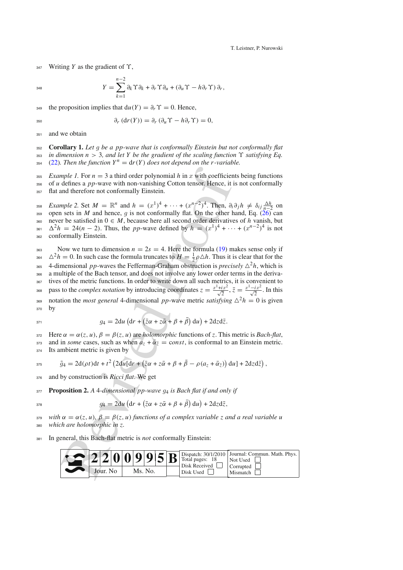T. Leistner, P. Nurowski

<sup>347</sup> Writing *Y* as the gradient of ϒ,

$$
^{348}
$$

$$
Y = \sum_{k=1}^{n-2} \partial_k \Upsilon \partial_k + \partial_r \Upsilon \partial_u + (\partial_u \Upsilon - h \partial_r \Upsilon) \partial_r,
$$

the proposition implies that  $du(Y) = \partial_r \Upsilon = 0$ . Hence,

$$
\partial_r \left( dr(Y) \right) = \partial_r \left( \partial_u \Upsilon - h \partial_r \Upsilon \right) = 0,
$$

351 and we obtain

352 **Corollary 1.** *Let g be a pp-wave that is conformally Einstein but not conformally flat*  $\frac{1}{253}$  *in dimension n* > 3. *and let Y be the gradient of the scaling function*  $\Upsilon$  *satisfying Eq.* in dimension  $n > 3$ , and let Y be the gradient of the scaling function  $\Upsilon$  satisfying Eq.  $_{354}$  [\(22\)](#page-10-1). Then the function  $Y^n = dr(Y)$  does not depend on the r-variable.

<sup>355</sup> *Example 1.* For  $n = 3$  a third order polynomial  $h$  in  $x$  with coefficients being functions of  $u$  defines a  $p$ -wave with non-vanishing Cotton tensor. Hence, it is not conformally <sup>356</sup> of *u* defines a *pp*-wave with non-vanishing Cotton tensor. Hence, it is not conformally <sup>357</sup> flat and therefore not conformally Einstein.

*Example 2.* Set  $M = \mathbb{R}^n$  and  $h = (x^1)^4 + \cdots + (x^n - 2)^4$ . Then,  $\partial_i \partial_j h \neq \delta_{ij} \frac{\Delta h}{n-2}$  on one sets in M and hence a is not conformally flat. On the other hand Eq. (26) can 359 open sets in *M* and hence, *g* is not conformally flat. On the other hand, Eq. [\(26\)](#page-10-3) can<br>369 never be satisfied in  $0 \in M$  because here all second order derivatives of *h* vanish but 360 never be satisfied in  $0 \in M$ , because here all second order derivatives of *h* vanish, but <sup>22</sup><sub>2</sub><sup>2</sup> = 24(*n* − 2). Thus, the *pp*-wave defined by  $h = (x^1)^4 + \cdots + (x^{n-2})^4$  is not conformally Einstein <sup>362</sup> conformally Einstein.

mple 1. For  $n = 3$  a third order polynomial h in x with coefficiendefines a pp-wave with non-vanishing Cotton tensor. Hence, it is dues therefore not conformally Binstein.<br>
M and therefore not conformally Binstein. Then, 363 Now we turn to dimension  $n = 2s = 4$ . Here the formula (19) makes sense only if  $2^{2}h = 0$ . In such case the formula truncates to  $H = \frac{1}{2}\rho \Delta h$ . Thus it is clear that for the <sup>365</sup> 4-dimensional *pp*-waves the Fefferman-Graham obstruction is *precisely*  $\Delta^2 h$ , which is <sup>366</sup> a multiple of the Bach tensor, and does not involve any lower order terms in the deriva-<sup>367</sup> tives of the metric functions. In order to write down all such metrics, it is convenient to pass to the *complex notation* by introducing coordinates  $z = \frac{x^1 + ix^2}{\sqrt{2}}, \bar{z} = \frac{x^1 - ix^2}{\sqrt{2}}$ . In this 369 notation the *most general* 4-dimensional *pp*-wave metric *satisfying*  $\Delta^2 h = 0$  is given

370 **by** 

$$
g_4 = 2du \left( dr + \left( \bar{z}\alpha + z\bar{\alpha} + \beta + \bar{\beta} \right) du \right) + 2dzd\bar{z}.
$$

<sup>372</sup> Here α = α(*z*, *u*), β = β(*z*, *u*) are *holomorphic* functions of *z*. This metric is *Bach-flat*, 373 and in *some* cases, such as when  $a_z + \overline{a}_{\overline{z}} = const$ , is conformal to an Einstein metric. <sup>374</sup> Its ambient metric is given by

$$
\tilde{g}_4 = 2d(\rho t)dt + t^2 \left(2du[dr + (\bar{z}\alpha + z\bar{\alpha} + \beta + \bar{\beta} - \rho(a_z + \bar{\alpha}_{\bar{z}}))du\right) + 2dzd\bar{z}\right),
$$

- <sup>376</sup> and by construction is *Ricci flat*. We get
- <sup>377</sup> **Proposition 2.** *<sup>A</sup>* <sup>4</sup>*-dimensional pp-wave <sup>g</sup>*<sup>4</sup> *is Bach flat if and only if*

$$
g_4 = 2du \left( dr + \left( \bar{z}\alpha + z\bar{\alpha} + \beta + \bar{\beta} \right) du \right) + 2dzd\bar{z},
$$

<sup>379</sup> *with* α = α(*z*, *u*)*,* β = β(*z*, *u*) *functions of a complex variable z and a real variable u* which are holomorphic in z.

<sup>381</sup> In general, this Bach-flat metric is *not* conformally Einstein:

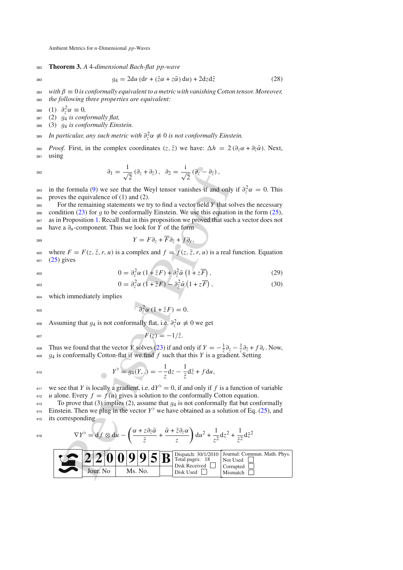<sup>382</sup> **Theorem 3.** *A* 4*-dimensional Bach-flat pp-wave*

<span id="page-12-0"></span>

 $384$  *with*  $\beta \equiv 0$  *is conformally equivalent to a metric with vanishing Cotton tensor. Moreover,* <sup>385</sup> *the following three properties are equivalent:*

 $g_4 = 2du \left( dr + (\bar{z}\alpha + z\bar{\alpha}) du \right) + 2dzd\bar{z}$  (28)

 $386 \quad (1) \quad \partial_{\tau}^{2} \alpha \equiv 0,$ 

<sup>387</sup> (2) *<sup>g</sup>*<sup>4</sup> *is conformally flat,*

<sup>388</sup> (3) *<sup>g</sup>*<sup>4</sup> *is conformally Einstein.*

*In particular, any such metric with*  $\partial^2_z \alpha \neq 0$  *is not conformally Einstein.* 

390 *Proof.* First, in the complex coordinates  $(z, \bar{z})$  we have:  $\Delta h = 2(\partial_z \alpha + \partial_{\bar{z}} \bar{\alpha})$ . Next, <sup>391</sup> using

$$
\partial_1 = \frac{1}{\sqrt{2}} (\partial_z + \partial_{\bar{z}}), \quad \partial_2 = \frac{i}{\sqrt{2}} (\partial_{\bar{z}} - \partial_{\bar{z}}),
$$

<sup>393</sup> in the formula [\(9\)](#page-6-4) we see that the Weyl tensor vanishes if and only if  $\partial_z^2 \alpha = 0$ . This proves the equivalence of (1) and (2). proves the equivalence of  $(1)$  and  $(2)$ .

<sup>395</sup> For the remaining statements we try to find a vector field *Y* that solves the necessary 396 condition [\(23\)](#page-10-2) for *g* to be conformally Einstein. We use this equation in the form [\(25\)](#page-10-3),<br>397 as in Proposition 1. Recall that in this proposition we proved that such a vector does not as in Proposition [1.](#page-10-4) Recall that in this proposition we proved that such a vector does not <sup>398</sup> have a ∂*u*-component. Thus we look for *Y* of the form

$$
Y = F \partial_z + \overline{F} \partial_{\overline{z}} + f \partial_r,
$$

400 where  $F = F(z, \bar{z}, r, u)$  is a complex and  $f = f(z, \bar{z}, r, u)$  is a real function. Equation <sup>401</sup> [\(25\)](#page-10-3) gives

$$
0 = \partial_z^2 \alpha \left(1 + \bar{z}F\right) + \partial_{\bar{z}}^2 \bar{\alpha} \left(1 + z\overline{F}\right),\tag{29}
$$

$$
0 = \partial_z^2 \alpha \left( 1 + \bar{z}F \right) - \partial_{\bar{z}}^2 \bar{\alpha} \left( 1 + z\overline{F} \right), \tag{30}
$$

<sup>404</sup> which immediately implies

$$
\partial_z^2 \alpha \left(1 + \bar{z}F\right) = 0.
$$

Assuming that  $g_4$  is not conformally flat, i.e.  $\partial_z^2 \alpha \neq 0$  we get

$$
F(z) = -1/\bar{z}.
$$

Thus we found that the vector *Y* solves (23) if and only if  $Y = -\frac{1}{z}\partial_z - \frac{1}{z}\partial_{\bar{z}} + f\partial_r$ . Now, <sup>409</sup> *<sup>g</sup>*<sup>4</sup> is conformally Cotton-flat if we find *<sup>f</sup>* such that this *<sup>Y</sup>* is a gradient. Setting

$$
Y^{\flat} = g_4(Y,.) = -\frac{1}{z}dz - \frac{1}{\bar{z}}d\bar{z} + f du,
$$

we see that *Y* is locally a gradient, i.e.  $dY^{\flat} = 0$ , if and only if *f* is a function of variable 412 *u* alone. Every  $f = f(u)$  gives a solution to the conformally Cotton equation.

<sup>413</sup> To prove that (3) implies (2), assume that  $g_4$  is not conformally flat but conformally flat but conformally flat but conformally flat but conformally flat but conformally flat but conformally flat but content of E Einstein. Then we plug in the vector  $Y^{\flat}$  we have obtained as a solution of Eq. [\(25\)](#page-10-3), and <sup>415</sup> its corresponding

$$
\nabla Y^{\flat} = \mathrm{d} f \otimes \mathrm{d} u - \left( \frac{\alpha + z \partial_{\bar{z}} \bar{\alpha}}{\bar{z}} + \frac{\bar{\alpha} + \bar{z} \partial_{z} \alpha}{z} \right) \mathrm{d} u^{2} + \frac{1}{z^{2}} \mathrm{d} z^{2} + \frac{1}{\bar{z}^{2}} \mathrm{d} \bar{z}^{2}
$$

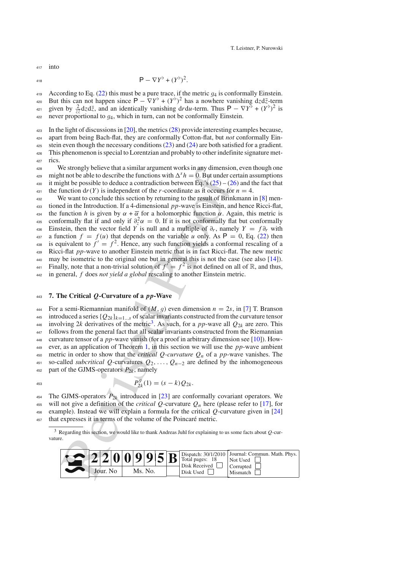$417$  into

$$
\mathsf{P} - \nabla Y^{\flat} + (Y^{\flat})^2.
$$

419 According to Eq. [\(22\)](#page-10-1) this must be a pure trace, if the metric *g*<sub>4</sub> is conformally Einstein.<br><sup>420</sup> But this can not happen since  $P = \nabla Y^{\flat} + (Y^{\flat})^2$  has a nowhere vanishing dzd<del>z</del>-term But this can not happen since  $P - \nabla Y^{\flat} + (Y^{\flat})^2$  has a nowhere vanishing dzdz-term  $\frac{1}{421}$  given by  $\frac{2}{z\bar{z}}$  dzd*z*, and an identically vanishing d*r*d*u*-term. Thus P −  $\nabla Y^{\bar{b}} + (Y^{\bar{b}})^2$  is

 $422$  never proportional to  $q_4$ , which in turn, can not be conformally Einstein.

<sup>423</sup> In the light of discussions in [\[20\]](#page-16-9), the metrics [\(28\)](#page-12-0) provide interesting examples because,

<sup>424</sup> apart from being Bach-flat, they are conformally Cotton-flat, but *not* conformally Ein-

425 stein even though the necessary conditions  $(23)$  and  $(24)$  are both satisfied for a gradient. <sup>426</sup> This phenomenon is special to Lorentzian and probably to other indefinite signature met-

427 rics

<sup>428</sup> We strongly believe that a similar argument works in any dimension, even though one might not be able to describe the functions with  $\Delta^{s} h = 0$ . But under certain assumptions 430 it might be possible to deduce a contradiction between Eq.'s  $(25) - (26)$  $(25) - (26)$  and the fact that 431 the function  $dr(Y)$  is independent of the *r*-coordinate as it occurs for  $n = 4$ .

W[e](#page-2-0) strongly believe that a similar argument works in any [d](#page-13-1)imension<br>o[f](#page-10-3) the Groupy believe that a similar argument works in any dimension<br>that to the due to describe the functions with  $\Delta^s h = 0$ . But under cell<br>that the po <sup>432</sup> We want to conclude this section by returning to the result of Brinkmann in [\[8\]](#page-16-8) men-<sup>433</sup> tioned in the Introduction. If a 4-dimensional *pp*-wave is Einstein, and hence Ricci-flat, 434 the function *h* is given by  $\alpha + \overline{\alpha}$  for a holomorphic function  $\alpha$ . Again, this metric is <sup>435</sup> conformally flat if and only if  $\partial_z^2 \alpha = 0$ . If it is not conformally flat but conformally Einstein, then the vector field *Y* is null and a multiple of  $\partial_r$ , namely  $Y = f \partial_r$  with 437 a function  $f = f(u)$  that depends on the variable *u* only. As  $P = 0$ , Eq. [\(22\)](#page-10-1) then <sup>438</sup> is equivalent to  $f' = f^2$ . Hence, any such function yields a conformal rescaling of a <sup>439</sup> Ricci-flat *pp*-wave to another Einstein metric that is in fact Ricci-flat. The new metric 440 may be isometric to the original one but in general this is not the case (see also  $[14]$ ). <sup>441</sup> Finally, note that a non-trivial solution of  $f' = f^2$  is not defined on all of R, and thus, <sup>442</sup> in general, *f* does *not yield a global* rescaling to another Einstein metric.

## <span id="page-13-0"></span><sup>443</sup> **7. The Critical** *Q***-Curvature of a** *pp***-Wave**

444 For a semi-Riemannian manifold of  $(M, g)$  even dimension  $n = 2s$ , in [\[7\]](#page-16-18) T. Branson<br>445 introduced a series  $\{O_{2k}\}_{k=1}^s$  of scalar invariants constructed from the curvature tensor introduced a series  ${Q_{2k}}_{k=1}$  of scalar invariants constructed from the curvature tensor involving 2*k* derivatives of the metric<sup>3</sup>. As such, for a *pp*-wave all  $Q_{2k}$  are zero. This <sup>447</sup> follows from the general fact that all scalar invariants constructed from the Riemannian <sup>448</sup> curvature tensor of a *pp*-wave vanish (for a proof in arbitrary dimension see [\[10](#page-16-15)]). How-<sup>449</sup> ever, as an application of Theorem 1, in this section we will use the *pp*-wave ambient 450 metric in order to show that the *critical Q-curvature*  $Q_n$  of a *pp*-wave vanishes. The <sup>451</sup> so-called *subcritical Q*-curvatures *Q*2,..., *Qn*<sup>−</sup><sup>2</sup> are defined by the inhomogeneous 452 part of the GJMS-operators  $P_{2k}$ , namely

$$
P_{2k}^g(1) = (s-k)Q_{2k}.
$$

<sup>454</sup> The GJMS-operators  $P_{2k}$  introduced in [23] are conformally covariant operators. We 455 will not give a definition of the *critical Q*-curvature  $Q_n$  here (please refer to [\[17](#page-16-20)], for <sup>456</sup> example). Instead we will explain a formula for the critical *Q*-curvature given in [\[24](#page-17-15)] <sup>457</sup> that expresses it in terms of the volume of the Poincaré metric.

<span id="page-13-1"></span><sup>3</sup> Regarding this section, we would like to thank Andreas Juhl for explaining to us some facts about *Q*-curvature.

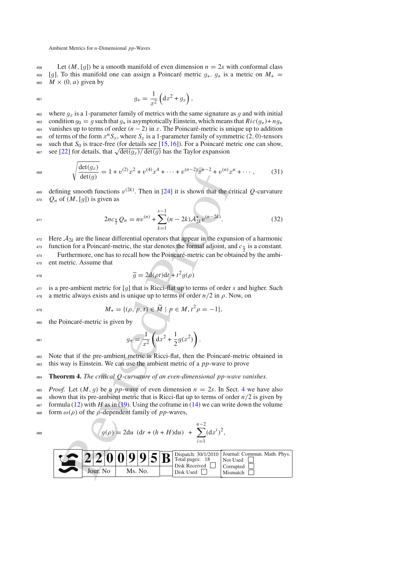458 Let  $(M, [g])$  be a smooth manifold of even dimension  $n = 2s$  with conformal class<br>459  $[a]$ . To this manifold one can assign a Poincaré metric  $a_1, a_2$  is a metric on  $M_1 =$ <sup>459</sup> [*g*]. To this manifold one can assign a Poincaré metric  $g_+, g_+$  is a metric on  $M_+ = M \times (0, a)$  given by  $M \times (0, a)$  given by

$$
g_{+} = \frac{1}{x^2} \left( dx^2 + g_x \right),
$$

where  $g_x$  is a 1-parameter family of metrics with the same signature as *g* and with initial<br>condition  $g_0 = g$  such that *g*, is asymptotically Einstein, which means that  $Ric(g_1) + ng_1$ 463 condition  $g_0 = g$  such that  $g_+$  is asymptotically Einstein, which means that  $Ric(g_+) + ng_+$ <br>464 vanishes up to terms of order  $(n-2)$  in x. The Poincaré-metric is unique up to addition 464 vanishes up to terms of order  $(n-2)$  in *x*. The Poincaré-metric is unique up to addition<br>465 of terms of the form  $x^n S_x$ , where  $S_x$  is a 1-parameter family of symmetric (2, 0)-tensors 465 of terms of the form  $x^n S_x$ , where  $S_x$  is a 1-parameter family of symmetric (2, 0)-tensors<br>466 such that  $S_0$  is trace-free (for details see [15, 16]). For a Poincaré metric one can show. such that  $S_0$  is trace-free (for details see [\[15,](#page-16-10)[16\]](#page-16-11)). For a Poincaré metric one can show, see [\[22](#page-16-21)] for details, that  $\sqrt{\det(g_x)/\det(g)}$  has the Taylor expansion

<span id="page-14-0"></span>
$$
\sqrt{\frac{\det(g_x)}{\det(g)}} = 1 + v^{(2)}x^2 + v^{(4)}x^4 + \dots + v^{(n-2)}x^{n-2} + v^{(n)}x^n + \dots,
$$
 (31)

469 defining smooth functions  $v^{(2k)}$ . Then in [24] it is shown that the critical *Q*-curvature  $470$  *Q<sub>n</sub>* of  $(M, [g])$  is given as

<span id="page-14-1"></span>
$$
2nc_{\frac{n}{2}}Q_n = nv^{(n)} + \sum_{k=1}^{s-1} (n-2k) \mathcal{A}_{2k}^* v^{(n-2k)}.
$$
 (32)

 $\lambda$ 

 Here  $A_{2k}$  are the linear differential operators that appear in the expansion of a harmonic function for a Poincaré-metric, the star denotes the formal adjoint, and  $c_{\frac{n}{2}}$  is a constant. Furthermore, one has to recall how the Poincaré-metric can be obtained by the ambi-ent metric. Assume that

$$
\widetilde{g} = 2d(\rho t)dt + t^2 g(\rho)
$$

<sup>477</sup> is a pre-ambient metric for [g] that is Ricci-flat up to terms of order *s* and higher. Such a metric always exists and is unique up to terms of order  $n/2$  in  $\rho$ . Now, on a metric always exists and is unique up to terms of order  $n/2$  in  $\rho$ . Now, on

$$
M_{+} = \{(\rho, p, t) \in \widetilde{M} \mid p \in M, t^{2} \rho = -1\},\
$$

the Poincaré-metric is given by

$$
g_{+} = \frac{1}{x^2} \left( dx^2 + \frac{1}{2} g(x^2) \right).
$$

<sup>482</sup> Note that if the pre-ambient metric is Ricci-flat, then the Poincaré-metric obtained in <sup>483</sup> this way is Einstein. We can use the ambient metric of a *pp*-wave to prove

<sup>484</sup> **Theorem 4.** *The critical Q-curvature of an even-dimensional pp-wave vanishes.*

*ABS Proof.* Let  $(M, g)$  be a *pp*-wave of even dimension  $n = 2s$ . In Sect. [4](#page-6-0) we have also shown that its pre-ambient metric that is Ricci-flat up to terms of order  $n/2$  is given by

shown that its pre-ambient metric that is Ricci-flat up to terms of order  $n/2$  is given by  $487$  formula (12) with *H* as in (19). Using the coframe in [\(14\)](#page-7-1) we can write down the volume

488 form  $\omega(\rho)$  of the  $\rho$ -dependent family of *pp*-waves,

$$
q_{489} \qquad \qquad q(\rho) = 2du \, (dr + (h + H)du) + \sum_{i=1}^{n-2} (dx^i)^2,
$$

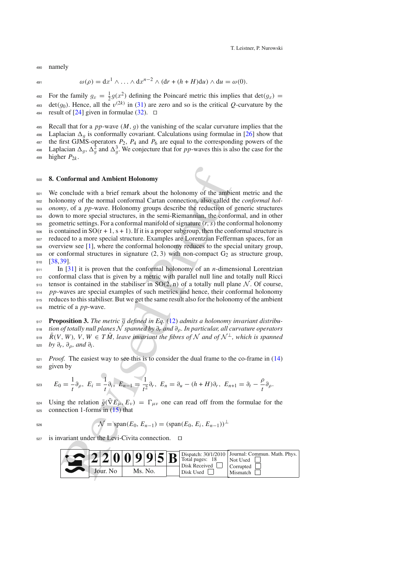<sup>490</sup> namely

$$
\omega(\rho) = dx^1 \wedge \ldots \wedge dx^{n-2} \wedge (dr + (h+H)du) \wedge du = \omega(0).
$$

For the family  $g_x = \frac{1}{2}g(x^2)$  defining the Poincaré metric this implies that  $det(g_x) = det(e_x)$ . Hence, all the  $u^{(2k)}$  in (21) are zero and so is the gritical O currentum by the det(*g*<sub>0</sub>). Hence, all the  $v^{(2k)}$  in [\(31\)](#page-14-0) are zero and so is the critical *Q*-curvature by the result of [24] given in formulae (32).  $\Box$ result of [\[24\]](#page-17-15) given in formulae [\(32\)](#page-14-1).  $\Box$ 

495 Recall that for a *pp*-wave  $(M, g)$  the vanishing of the scalar curvature implies that the Laplacian  $\Delta_{\alpha}$  is conformally covariant. Calculations using formulae in [26] show that

496 Laplacian  $\Delta_g$  is conformally covariant. Calculations using formulae in [\[26\]](#page-17-16) show that the first GJMS-operators  $P_2$ ,  $P_4$  and  $P_6$  are equal to the corresponding powers of the

the first GJMS-operators  $P_2$ ,  $P_4$  and  $P_6$  are equal to the corresponding powers of the Laplacian  $\Delta_g$ ,  $\Delta_g^2$  and  $\Delta_g^3$ . We conjecture that for *pp*-waves this is also the case for the higher  $P_{2h}$ 

 $499$  higher  $P_{2k}$ .

#### <sup>500</sup> **8. Conformal and Ambient Holonomy**

<span id="page-15-0"></span>**onformal and Ambient Holonomy**<br>conclude with a brief remark about the holonomy of the ambit<br>momy of the normal conformal Cartan connection, also called t<br>*n*, of a *pp*-wa[v](#page-7-2)e. Holonomy groups describe the reduction of<br>n t We conclude with a brief remark about the holonomy of the ambient metric and the holonomy of the normal conformal Cartan connection, also called the *conformal hol- onomy*, of a *pp*-wave. Holonomy groups describe the reduction of generic structures down to more special structures, in the semi-Riemannian, the conformal, and in other  $_{505}$  geometric settings. For a conformal manifold of signature  $(r, s)$  the conformal holonomy is contained in SO(r + 1, s + 1). If it is a proper subgroup, then the conformal structure is reduced to a more special structure. Examples are Lorentzian Fefferman spaces, for an overview see [\[1\]](#page-16-22), where the conformal holonomy reduces to the special unitary group, or conformal structures in signature (2, 3) with non-compact  $G_2$  as structure group, <sup>510</sup> [\[38](#page-17-17),[39\]](#page-17-14). In [\[31\]](#page-17-12) it is proven that the conformal holonomy of an *n*-dimensional Lorentzian

<sup>512</sup> conformal class that is given by a metric with parallel null line and totally null Ricci 513 tensor is contained in the stabiliser in  $SO(2, n)$  of a totally null plane *N*. Of course,<br>514 pp-waves are special examples of such metrics and hence, their conformal holonomy pp-waves are special examples of such metrics and hence, their conformal holonomy

<sup>515</sup> reduces to this stabiliser. But we get the same result also for the holonomy of the ambient <sup>516</sup> metric of a *pp*-wave.

517 **Proposition 3.** *The metric*  $\overline{g}$  *defined in Eq.* [\(12\)](#page-6-2) *admits a holonomy invariant distribution of totally null planes*  $\overline{N}$  *spanned by*  $\partial_r$  *and*  $\partial_{\alpha}$ . *In particular, all curvature operators* 518 *tion of totally null planes*  $N$  *spanned by*  $\partial_r$  *and*  $\partial_\rho$ *. In particular, all curvature operators*  $\overline{R}(V, W)$ *.*  $V, W \in T\overline{M}$ *. leave invariant the fibres of*  $N$  *and of*  $N^{\perp}$ *, which is spanned*  $R(V, W)$ ,  $V, W ∈ T\overline{M}$ , leave invariant the fibres of  $N$  and of  $N^{\perp}$ , which is spanned by  $\partial_{\infty} R(V, W)$ ,  $\partial_{\infty} q$  and  $\partial_{\infty}$ . *by*  $\partial_r$ ,  $\partial_{\rho}$ *, and*  $\partial_i$ *.* 

 $521$  *Proof.* The easiest way to see this is to consider the dual frame to the co-frame in  $(14)$ <sup>522</sup> given by

$$
\text{ s.s. } \qquad E_0 = \frac{1}{t} \partial_\rho, \ E_i = \frac{1}{t} \partial_i, \ E_{n-1} = \frac{1}{t^2} \partial_r, \ E_n = \partial_u - (h+H) \partial_r, \ E_{n+1} = \partial_t - \frac{\rho}{t} \partial_\rho.
$$

Using the relation  $\bar{g}(\bar{\nabla}E_{\mu}, E_{\nu}) = \Gamma_{\mu\nu}$  one can read off from the formulae for the connection 1-forms in (15) that connection 1-forms in  $(15)$  that

$$
\mathcal{N} = \text{span}(E_0, E_{n-1}) = (\text{span}(E_0, E_i, E_{n-1}))^{\perp}
$$

 $527$  is invariant under the Levi-Civita connection.  $\Box$ 

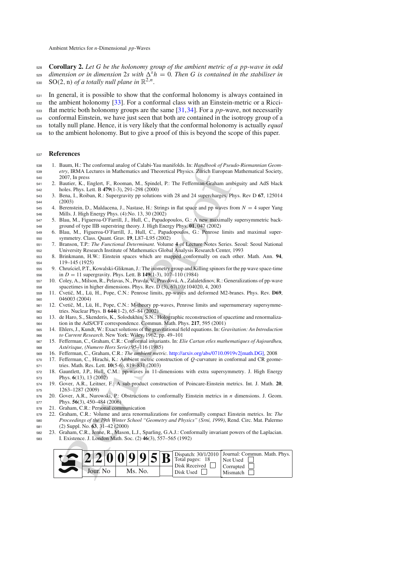- **Corollary 2.** *Let G be the holonomy group of the ambient metric of a pp-wave in odd*
- $\frac{d}{dx}$  *dimension or in dimension* 2*s with*  $\Delta^{s} h = 0$ *. Then G is contained in the stabiliser in*  $SO(2, n)$  *of a totally null plane in*  $\mathbb{R}^{2,n}$ *.*
- In general, it is possible to show that the conformal holonomy is always contained in
- the ambient holonomy [\[33\]](#page-17-18). For a conformal class with an Einstein-metric or a Ricci-
- flat metric both holonomy groups are the same [\[31](#page-17-12)[,34](#page-17-11)]. For a *pp*-wave, not necessarily
- conformal Einstein, we have just seen that both are contained in the isotropy group of a
- totally null plane. Hence, it is very likely that the conformal holonomy is actually *equal*
- to the ambient holonomy. But to give a proof of this is beyond the scope of this paper.

#### **References**

- <span id="page-16-22"></span> 1. Baum, H.: The conformal analog of Calabi-Yau manifolds. In: *Handbook of Pseudo-Riemannian Geom- etry*, IRMA Lectures in Mathematics and Theoretical Physics. Zürich European Mathematical Society, 2007, In press
- <span id="page-16-12"></span> 2. Bautier, K., Englert, F., Rooman, M., Spindel, P.: The Fefferman-Graham ambiguity and AdS black holes. Phys. Lett. B **479**(1-3), 291–298 (2000)
- <span id="page-16-7"></span> 3. Bena, I., Roiban, R.: Supergravity pp solutions with 28 and 24 supercharges. Phys. Rev D **67**, 125014 (2003)
- <span id="page-16-3"></span> 4. Berenstein, D., Maldacena, J., Nastase, H.: Strings in flat space and pp waves from *N* = 4 super Yang Mills. J. High Energy Phys. (4):No. 13, 30 (2002)
- <span id="page-16-1"></span> 5. Blau, M., Figueroa-O'Farrill, J., Hull, C., Papadopoulos, G.: A new maximally supersymmetric back-ground of type IIB superstring theory. J. High Energy Phys. **01**, 047 (2002)
- <span id="page-16-2"></span> 6. Blau, M., Figueroa-O'Farrill, J., Hull, C., Papadopoulos, G.: Penrose limits and maximal super-symmetry. Class. Quant. Grav. **19**, L87–L95 (2002)
- <span id="page-16-18"></span> 7. Branson, T.P.: *The Functional Determinant.* Volume **4** of Lecture Notes Series. Seoul: Seoul National University Research Institute of Mathematics Global Analysis Research Center, 1993
- <span id="page-16-8"></span> 8. Brinkmann, H.W.: Einstein spaces which are mapped conformally on each other. Math. Ann. **94**, 119–145 (1925)
- <span id="page-16-0"></span>555 9. Chrusciel, P.T., Kowalski-Glikman, J.: The isometry group and Killing spinors for the pp wave space-time 556 in  $D = 11$  supergravity. Phys. Lett. B  $149(1-3)$ ,  $107-110$  (1984)
- <span id="page-16-15"></span> 10. Coley, A., Milson, R., Pelavas, N., Pravda, V., Pravdová, A., Zalaletdinov, R.: Generalizations of pp-wave spacetimes in higher dimensions. Phys. Rev. D (3), 67(10):104020, 4, 2003
- <span id="page-16-4"></span> 11. Cvetiˇc, M., Lü, H., Pope, C.N.: Penrose limits, pp-waves and deformed M2-branes. Phys. Rev. **D69**, 046003 (2004)
- <span id="page-16-5"></span>561 12. Cvetič, M., Lü, H., Pope, C.N.: M-theory pp-waves, Penrose limits and supernumerary supersymme-tries. Nuclear Phys. B **644**(1-2), 65–84 (2002)
- <span id="page-16-13"></span> 13. de Haro, S., Skenderis, K., Solodukhin, S.N.: Holographic reconstruction of spacetime and renormaliza-tion in the AdS/CFT correspondence. Commun. Math. Phys. **217**, 595 (2001)
- <span id="page-16-17"></span> 14. Ehlers, J., Kundt, W.: Exact solutions of the gravitational field equations. In: *Gravitation: An Introduction to Current Research*. New York: Wiley, 1962, pp. 49–101
- <span id="page-16-10"></span> 15. Fefferman, C., Graham, C.R.: Conformal invariants. In: *Elie Cartan etles mathematiques of Aujourdheu, Astérisque, (Numero Hors Serie)*:95–116 (1985)
- <span id="page-16-11"></span>16. Fefferman, C., Graham, C.R.: *The ambient metric.* [http://arxiv.org/abs/0710.0919v2\[math.DG\],](http://arxiv.org/abs/0710.0919v2[math.DG]) 2008
- <span id="page-16-20"></span> 17. Fefferman, C., Hirachi, K.: Ambient metric construction of *Q*-curvature in conformal and CR geome-tries. Math. Res. Lett. **10**(5-6), 819–831 (2003)
- <span id="page-16-6"></span> 18. Gauntlett, J.P., Hull, C.M.: pp-waves in 11-dimensions with extra supersymmetry. J. High Energy Phys. **6**(13), 13 (2002)
- <span id="page-16-14"></span> 19. Gover, A.R., Leitner, F.: A sub-product construction of Poincare-Einstein metrics. Int. J. Math. **20**, 1263–1287 (2009)
- <span id="page-16-9"></span> 20. Gover, A.R., Nurowski, P.: Obstructions to conformally Einstein metrics in *n* dimensions. J. Geom. Phys. **56**(3), 450–484 (2006)
- <span id="page-16-16"></span>21. Graham, C.R.: Personal communication
- <span id="page-16-21"></span> 22. Graham, C.R.: Volume and area renormalizations for conformally compact Einstein metrics. In: *The Proceedings of the 19th Winter School "Geometry and Physics" (Srni, 1999)*, Rend. Circ. Mat. Palermo (2) Suppl. No. **63**, 31–42 (2000)
- <span id="page-16-19"></span>Graham, C.R., Jenne, R., Mason, L.J., Sparling, G.A.J.: Conformally invariant powers of the Laplacian. I. Existence. J. London Math. Soc. (2) **46**(3), 557–565 (1992)